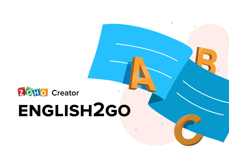

 $+$ 

 $\circ$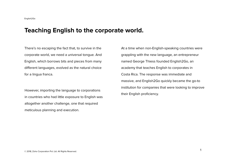# **Teaching English to the corporate world.**

There's no escaping the fact that, to survive in the corporate world, we need a universal tongue. And English, which borrows bits and pieces from many different languages, evolved as the natural choice for a lingua franca.

However, importing the language to corporations in countries who had little exposure to English was altogether another challenge, one that required meticulous planning and execution.

At a time when non-English-speaking countries were grappling with the new language, an entrepreneur named George Thiess founded English2Go, an academy that teaches English to corporates in Costa Rica. The response was immediate and massive, and English2Go quickly became the go-to institution for companies that were looking to improve their English proficiency.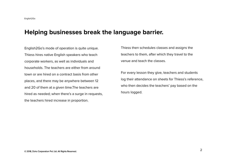**Helping businesses break the language barrier.**<br>
English 2Go's mode of operation is quite unique.<br>
Thiess then schedules classes and assigns the<br>
Thiess history and explicit speakers who teach<br>
to corporate workers, as we English2Go's mode of operation is quite unique. Thiess hires native English speakers who teach corporate workers, as well as individuals and households. The teachers are either from around town or are hired on a contract basis from other places, and there may be anywhere between 12 and 20 of them at a given time.The teachers are hired as needed; when there's a surge in requests, the teachers hired increase in proportion.

Thiess then schedules classes and assigns the teachers to them, after which they travel to the venue and teach the classes.

For every lesson they give, teachers and students log their attendance on sheets for Thiess's reference, who then decides the teachers' pay based on the hours logged.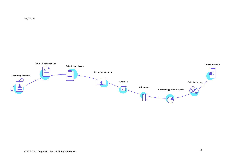

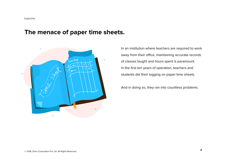# **The menace of paper time sheets.**



In an institution where teachers are required to work away from their office, maintaining accurate records of classes taught and hours spent is paramount. In the first ten years of operation, teachers and students did their logging on paper time sheets.

And in doing so, they ran into countless problems.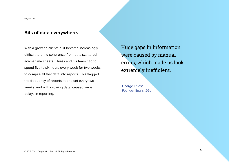#### **Bits of data everywhere.**

With a growing clientele, it became increasingly difficult to draw coherence from data scattered across time sheets. Thiess and his team had to spend five to six hours every week for two weeks to compile all that data into reports. This flagged the frequency of reports at one set every two weeks, and with growing data, caused large delays in reporting.

Huge gaps in information were caused by manual errors, which made us look extremely inefficient.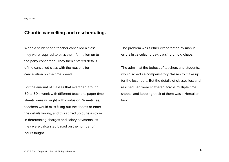#### **Chaotic cancelling and rescheduling.**

When a student or a teacher cancelled a class, they were required to pass the information on to the party concerned. They then entered details of the cancelled class with the reasons for cancellation on the time sheets.

For the amount of classes that averaged around 50 to 60 a week with different teachers, paper time sheets were wrought with confusion. Sometimes, teachers would miss filling out the sheets or enter the details wrong, and this stirred up quite a storm in determining charges and salary payments, as they were calculated based on the number of hours taught.

The problem was further exacerbated by manual errors in calculating pay, causing untold chaos.

The admin, at the behest of teachers and students, would schedule compensatory classes to make up for the lost hours. But the details of classes lost and rescheduled were scattered across multiple time sheets, and keeping track of them was a Herculian task.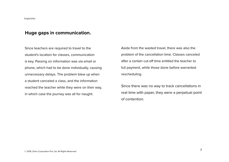### **Huge gaps in communication.**

Since teachers are required to travel to the student's location for classes, communication is key. Passing on information was via email or phone, which had to be done individually, causing unnecessary delays. The problem blew up when a student canceled a class, and the information reached the teacher while they were on their way, in which case the journey was all for naught.

Aside from the wasted travel, there was also the problem of the cancellation time. Classes canceled after a certain cut-off time entitled the teacher to full payment, while those done before warranted rescheduling.

Since there was no way to track cancellations in real time with paper, they were a perpetual point of contention.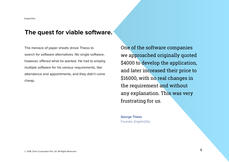# **The quest for viable software.**

The menace of paper sheets drove Thiess to search for software alternatives. No single software, however, offered what he wanted. He had to employ multiple software for his various requirements, like attendance and appointments, and they didn't come cheap.

One of the software companies we approached originally quoted \$4000 to develop the application, and later increased their price to \$16000, with no real changes in the requirement and without any explanation. This was very frustrating for us.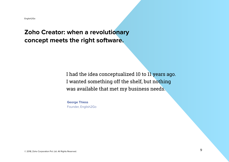# **Zoho Creator: when a revolutionary concept meets the right software.**

# I had the idea conceptualized 10 to 11 years ago. I wanted something off the shelf, but nothing was available that met my business needs.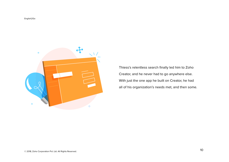

Thiess's relentless search finally led him to Zoho Creator, and he never had to go anywhere else. With just the one app he built on Creator, he had all of his organization's needs met, and then some.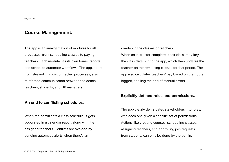#### **Course Management.**

The app is an amalgamation of modules for all processes, from scheduling classes to paying teachers. Each module has its own forms, reports, and scripts to automate workflows. The app, apart from streamlining disconnected processes, also reinforced communication between the admin, teachers, students, and HR managers.

#### **An end to conflicting schedules.**

When the admin sets a class schedule, it gets populated in a calendar report along with the assigned teachers. Conflicts are avoided by sending automatic alerts when there's an

overlap in the classes or teachers. When an instructor completes their class, they key the class details in to the app, which then updates the teacher on the remaining classes for that period. The app also calculates teachers' pay based on the hours logged, spelling the end of manual errors.

#### **Explicitly defined roles and permissions.**

The app clearly demarcates stakeholders into roles, with each one given a specific set of permissions. Actions like creating courses, scheduling classes, assigning teachers, and approving join requests from students can only be done by the admin.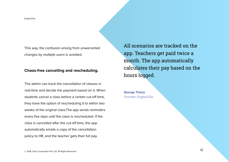This way, the confusion arising from unwarranted changes by multiple users is avoided.

#### **Chaos-free cancelling and rescheduling.**

The admin can track the cancellation of classes in real-time and decide the payment based on it. When students cancel a class before a certain cut-off time, they have the option of rescheduling it to within two weeks of the original class.The app sends reminders every five days until the class is rescheduled. If the class is cancelled after the cut-off time, the app automatically emails a copy of the cancellation policy to HR, and the teacher gets their full pay.

All scenarios are tracked on the app. Teachers get paid twice a month. The app automatically calculates their pay based on the hours logged.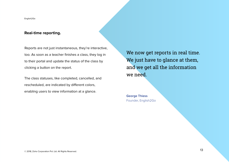#### **Real-time reporting.**

Reports are not just instantaneous, they're interactive, too. As soon as a teacher finishes a class, they log in to their portal and update the status of the class by clicking a button on the report.

The class statuses, like completed, cancelled, and rescheduled, are indicated by different colors, enabling users to view information at a glance.

We now get reports in real time. We just have to glance at them, and we get all the information we need.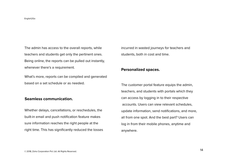The admin has access to the overall reports, while teachers and students get only the pertinent ones. Being online, the reports can be pulled out instantly, whenever there's a requirement.

What's more, reports can be compiled and generated based on a set schedule or as needed.

#### **Seamless communication.**

Whether delays, cancellations, or reschedules, the built-in email and push notification feature makes sure information reaches the right people at the right time. This has significantly reduced the losses incurred in wasted journeys for teachers and students, both in cost and time.

#### **Personalized spaces.**

The customer portal feature equips the admin, teachers, and students with portals which they can access by logging in to their respective accounts. Users can view relevant schedules, update information, send notifications, and more, all from one spot. And the best part? Users can log in from their mobile phones, anytime and anywhere.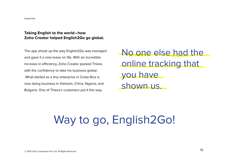#### **Taking English to the world—how Zoho Creator helped English2Go go global.**

The app shook up the way English2Go was managed and gave it a new lease on life. With an incredible increase in efficiency, Zoho Creator packed Thiess with the confidence to take his business global. What started as a tiny enterprise in Costa Rica is now doing business in Vietnam, China, Nigeria, and Bulgaria. One of Thiess's customers put it this way.

No one else had the online tracking that you have shown us.

# Way to go, English2Go!